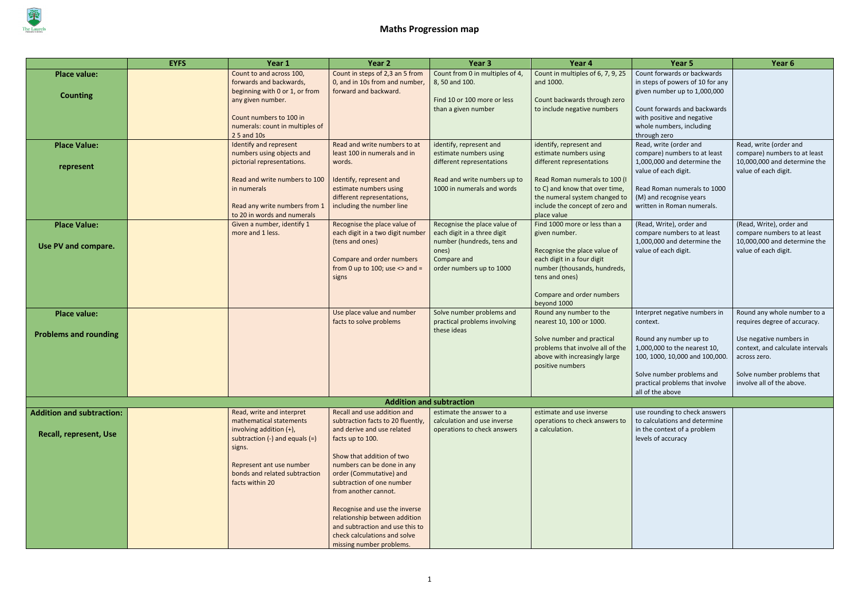

|                                  | <b>EYFS</b> | Year 1                                                        | Year 2                                                          | Year <sub>3</sub>                                          | Year 4                                                          | Year 5                                                 | Year 6                                                      |
|----------------------------------|-------------|---------------------------------------------------------------|-----------------------------------------------------------------|------------------------------------------------------------|-----------------------------------------------------------------|--------------------------------------------------------|-------------------------------------------------------------|
| <b>Place value:</b>              |             | Count to and across 100,                                      | Count in steps of 2,3 an 5 from                                 | Count from 0 in multiples of 4,                            | Count in multiples of 6, 7, 9, 25                               | Count forwards or backwards                            |                                                             |
|                                  |             | forwards and backwards,                                       | 0, and in 10s from and number,                                  | 8, 50 and 100.                                             | and 1000.                                                       | in steps of powers of 10 for any                       |                                                             |
| <b>Counting</b>                  |             | beginning with 0 or 1, or from                                | forward and backward.                                           | Find 10 or 100 more or less                                | Count backwards through zero                                    | given number up to 1,000,000                           |                                                             |
|                                  |             | any given number.                                             |                                                                 | than a given number                                        | to include negative numbers                                     | Count forwards and backwards                           |                                                             |
|                                  |             | Count numbers to 100 in                                       |                                                                 |                                                            |                                                                 | with positive and negative                             |                                                             |
|                                  |             | numerals: count in multiples of                               |                                                                 |                                                            |                                                                 | whole numbers, including                               |                                                             |
|                                  |             | 2 5 and 10s                                                   |                                                                 |                                                            |                                                                 | through zero                                           |                                                             |
| <b>Place Value:</b>              |             | Identify and represent                                        | Read and write numbers to at                                    | identify, represent and                                    | identify, represent and                                         | Read, write (order and                                 | Read, write (order and                                      |
|                                  |             | numbers using objects and                                     | least 100 in numerals and in                                    | estimate numbers using                                     | estimate numbers using                                          | compare) numbers to at least                           | compare) numbers to at least                                |
| represent                        |             | pictorial representations.                                    | words.                                                          | different representations                                  | different representations                                       | 1,000,000 and determine the                            | 10,000,000 and determine the                                |
|                                  |             |                                                               |                                                                 |                                                            |                                                                 | value of each digit.                                   | value of each digit.                                        |
|                                  |             | Read and write numbers to 100<br>in numerals                  | Identify, represent and<br>estimate numbers using               | Read and write numbers up to<br>1000 in numerals and words | Read Roman numerals to 100 (I<br>to C) and know that over time, | Read Roman numerals to 1000                            |                                                             |
|                                  |             |                                                               | different representations,                                      |                                                            | the numeral system changed to                                   | (M) and recognise years                                |                                                             |
|                                  |             | Read any write numbers from 1                                 | including the number line                                       |                                                            | include the concept of zero and                                 | written in Roman numerals.                             |                                                             |
|                                  |             | to 20 in words and numerals                                   |                                                                 |                                                            | place value                                                     |                                                        |                                                             |
| <b>Place Value:</b>              |             | Given a number, identify 1                                    | Recognise the place value of                                    | Recognise the place value of                               | Find 1000 more or less than a                                   | (Read, Write), order and                               | (Read, Write), order and                                    |
|                                  |             | more and 1 less.                                              | each digit in a two digit number                                | each digit in a three digit                                | given number.                                                   | compare numbers to at least                            | compare numbers to at least                                 |
| Use PV and compare.              |             |                                                               | (tens and ones)                                                 | number (hundreds, tens and                                 |                                                                 | 1,000,000 and determine the                            | 10,000,000 and determine the                                |
|                                  |             |                                                               |                                                                 | ones)                                                      | Recognise the place value of                                    | value of each digit.                                   | value of each digit.                                        |
|                                  |             |                                                               | Compare and order numbers                                       | Compare and                                                | each digit in a four digit                                      |                                                        |                                                             |
|                                  |             |                                                               | from 0 up to 100; use $\le$ and =<br>signs                      | order numbers up to 1000                                   | number (thousands, hundreds,<br>tens and ones)                  |                                                        |                                                             |
|                                  |             |                                                               |                                                                 |                                                            |                                                                 |                                                        |                                                             |
|                                  |             |                                                               |                                                                 |                                                            | Compare and order numbers                                       |                                                        |                                                             |
|                                  |             |                                                               |                                                                 |                                                            | beyond 1000                                                     |                                                        |                                                             |
| <b>Place value:</b>              |             |                                                               | Use place value and number                                      | Solve number problems and                                  | Round any number to the                                         | Interpret negative numbers in                          | Round any whole number to a                                 |
|                                  |             |                                                               | facts to solve problems                                         | practical problems involving                               | nearest 10, 100 or 1000.                                        | context.                                               | requires degree of accuracy.                                |
| <b>Problems and rounding</b>     |             |                                                               |                                                                 | these ideas                                                |                                                                 |                                                        |                                                             |
|                                  |             |                                                               |                                                                 |                                                            | Solve number and practical<br>problems that involve all of the  | Round any number up to<br>1,000,000 to the nearest 10, | Use negative numbers in<br>context, and calculate intervals |
|                                  |             |                                                               |                                                                 |                                                            | above with increasingly large                                   | 100, 1000, 10,000 and 100,000.                         | across zero.                                                |
|                                  |             |                                                               |                                                                 |                                                            | positive numbers                                                |                                                        |                                                             |
|                                  |             |                                                               |                                                                 |                                                            |                                                                 | Solve number problems and                              | Solve number problems that                                  |
|                                  |             |                                                               |                                                                 |                                                            |                                                                 | practical problems that involve                        | involve all of the above.                                   |
|                                  |             |                                                               |                                                                 |                                                            |                                                                 | all of the above                                       |                                                             |
|                                  |             |                                                               |                                                                 | <b>Addition and subtraction</b>                            |                                                                 |                                                        |                                                             |
| <b>Addition and subtraction:</b> |             | Read, write and interpret                                     | Recall and use addition and                                     | estimate the answer to a                                   | estimate and use inverse                                        | use rounding to check answers                          |                                                             |
|                                  |             | mathematical statements                                       | subtraction facts to 20 fluently,<br>and derive and use related | calculation and use inverse                                | operations to check answers to                                  | to calculations and determine                          |                                                             |
| <b>Recall, represent, Use</b>    |             | involving addition (+),<br>subtraction $(-)$ and equals $(=)$ | facts up to 100.                                                | operations to check answers                                | a calculation.                                                  | in the context of a problem<br>levels of accuracy      |                                                             |
|                                  |             | signs.                                                        |                                                                 |                                                            |                                                                 |                                                        |                                                             |
|                                  |             |                                                               | Show that addition of two                                       |                                                            |                                                                 |                                                        |                                                             |
|                                  |             | Represent ant use number                                      | numbers can be done in any                                      |                                                            |                                                                 |                                                        |                                                             |
|                                  |             | bonds and related subtraction                                 | order (Commutative) and                                         |                                                            |                                                                 |                                                        |                                                             |
|                                  |             | facts within 20                                               | subtraction of one number                                       |                                                            |                                                                 |                                                        |                                                             |
|                                  |             |                                                               | from another cannot.                                            |                                                            |                                                                 |                                                        |                                                             |
|                                  |             |                                                               | Recognise and use the inverse                                   |                                                            |                                                                 |                                                        |                                                             |
|                                  |             |                                                               | relationship between addition                                   |                                                            |                                                                 |                                                        |                                                             |
|                                  |             |                                                               | and subtraction and use this to                                 |                                                            |                                                                 |                                                        |                                                             |
|                                  |             |                                                               | check calculations and solve                                    |                                                            |                                                                 |                                                        |                                                             |
|                                  |             |                                                               | missing number problems.                                        |                                                            |                                                                 |                                                        |                                                             |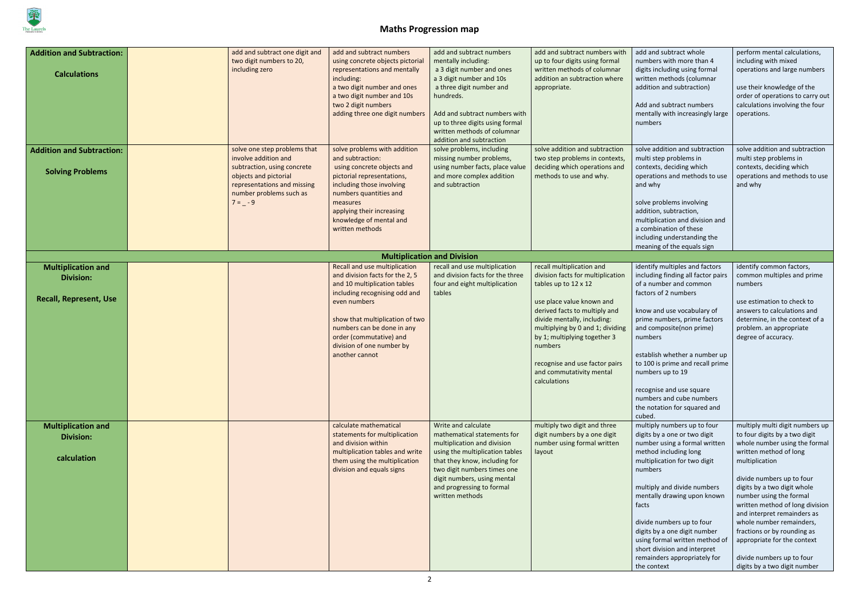

| <b>Addition and Subtraction:</b><br><b>Calculations</b>                        | add and subtract one digit and<br>two digit numbers to 20,<br>including zero                                                                                                       | add and subtract numbers<br>using concrete objects pictorial<br>representations and mentally<br>including:<br>a two digit number and ones<br>a two digit number and 10s<br>two 2 digit numbers<br>adding three one digit numbers                                                             | add and subtract numbers<br>mentally including:<br>a 3 digit number and ones<br>a 3 digit number and 10s<br>a three digit number and<br>hundreds.<br>Add and subtract numbers with<br>up to three digits using formal<br>written methods of columnar<br>addition and subtraction | add and subtract numbers with<br>up to four digits using formal<br>written methods of columnar<br>addition an subtraction where<br>appropriate.                                                                                                                                                                                                  | add and subtract whole<br>numbers with more than 4<br>digits including using formal<br>written methods (columnar<br>addition and subtraction)<br>Add and subtract numbers<br>mentally with increasingly large<br>numbers                                                                                                                                                                                               | perform mental calculations,<br>including with mixed<br>operations and large numbers<br>use their knowledge of the<br>order of operations to carry out<br>calculations involving the four<br>operations.                                                                                                                                                                                                                                                      |
|--------------------------------------------------------------------------------|------------------------------------------------------------------------------------------------------------------------------------------------------------------------------------|----------------------------------------------------------------------------------------------------------------------------------------------------------------------------------------------------------------------------------------------------------------------------------------------|----------------------------------------------------------------------------------------------------------------------------------------------------------------------------------------------------------------------------------------------------------------------------------|--------------------------------------------------------------------------------------------------------------------------------------------------------------------------------------------------------------------------------------------------------------------------------------------------------------------------------------------------|------------------------------------------------------------------------------------------------------------------------------------------------------------------------------------------------------------------------------------------------------------------------------------------------------------------------------------------------------------------------------------------------------------------------|---------------------------------------------------------------------------------------------------------------------------------------------------------------------------------------------------------------------------------------------------------------------------------------------------------------------------------------------------------------------------------------------------------------------------------------------------------------|
| <b>Addition and Subtraction:</b><br><b>Solving Problems</b>                    | solve one step problems that<br>involve addition and<br>subtraction, using concrete<br>objects and pictorial<br>representations and missing<br>number problems such as<br>$7 = -9$ | solve problems with addition<br>and subtraction:<br>using concrete objects and<br>pictorial representations,<br>including those involving<br>numbers quantities and<br>measures<br>applying their increasing<br>knowledge of mental and<br>written methods                                   | solve problems, including<br>missing number problems,<br>using number facts, place value<br>and more complex addition<br>and subtraction                                                                                                                                         | solve addition and subtraction<br>two step problems in contexts,<br>deciding which operations and<br>methods to use and why.                                                                                                                                                                                                                     | solve addition and subtraction<br>multi step problems in<br>contexts, deciding which<br>operations and methods to use<br>and why<br>solve problems involving<br>addition, subtraction,<br>multiplication and division and<br>a combination of these<br>including understanding the<br>meaning of the equals sign                                                                                                       | solve addition and subtraction<br>multi step problems in<br>contexts, deciding which<br>operations and methods to use<br>and why                                                                                                                                                                                                                                                                                                                              |
|                                                                                |                                                                                                                                                                                    |                                                                                                                                                                                                                                                                                              | <b>Multiplication and Division</b>                                                                                                                                                                                                                                               |                                                                                                                                                                                                                                                                                                                                                  |                                                                                                                                                                                                                                                                                                                                                                                                                        |                                                                                                                                                                                                                                                                                                                                                                                                                                                               |
| <b>Multiplication and</b><br><b>Division:</b><br><b>Recall, Represent, Use</b> |                                                                                                                                                                                    | Recall and use multiplication<br>and division facts for the 2, 5<br>and 10 multiplication tables<br>including recognising odd and<br>even numbers<br>show that multiplication of two<br>numbers can be done in any<br>order (commutative) and<br>division of one number by<br>another cannot | recall and use multiplication<br>and division facts for the three<br>four and eight multiplication<br>tables                                                                                                                                                                     | recall multiplication and<br>division facts for multiplication<br>tables up to 12 x 12<br>use place value known and<br>derived facts to multiply and<br>divide mentally, including:<br>multiplying by 0 and 1; dividing<br>by 1; multiplying together 3<br>numbers<br>recognise and use factor pairs<br>and commutativity mental<br>calculations | identify multiples and factors<br>including finding all factor pairs<br>of a number and common<br>factors of 2 numbers<br>know and use vocabulary of<br>prime numbers, prime factors<br>and composite(non prime)<br>numbers<br>establish whether a number up<br>to 100 is prime and recall prime<br>numbers up to 19<br>recognise and use square<br>numbers and cube numbers<br>the notation for squared and<br>cubed. | identify common factors,<br>common multiples and prime<br>numbers<br>use estimation to check to<br>answers to calculations and<br>determine, in the context of a<br>problem. an appropriate<br>degree of accuracy.                                                                                                                                                                                                                                            |
| <b>Multiplication and</b><br><b>Division:</b><br>calculation                   |                                                                                                                                                                                    | calculate mathematical<br>statements for multiplication<br>and division within<br>multiplication tables and write<br>them using the multiplication<br>division and equals signs                                                                                                              | Write and calculate<br>mathematical statements for<br>multiplication and division<br>using the multiplication tables<br>that they know, including for<br>two digit numbers times one<br>digit numbers, using mental<br>and progressing to formal<br>written methods              | multiply two digit and three<br>digit numbers by a one digit<br>number using formal written<br>layout                                                                                                                                                                                                                                            | multiply numbers up to four<br>digits by a one or two digit<br>number using a formal written<br>method including long<br>multiplication for two digit<br>numbers<br>multiply and divide numbers<br>mentally drawing upon known<br>facts<br>divide numbers up to four<br>digits by a one digit number<br>using formal written method of<br>short division and interpret<br>remainders appropriately for<br>the context  | multiply multi digit numbers up<br>to four digits by a two digit<br>whole number using the formal<br>written method of long<br>multiplication<br>divide numbers up to four<br>digits by a two digit whole<br>number using the formal<br>written method of long division<br>and interpret remainders as<br>whole number remainders,<br>fractions or by rounding as<br>appropriate for the context<br>divide numbers up to four<br>digits by a two digit number |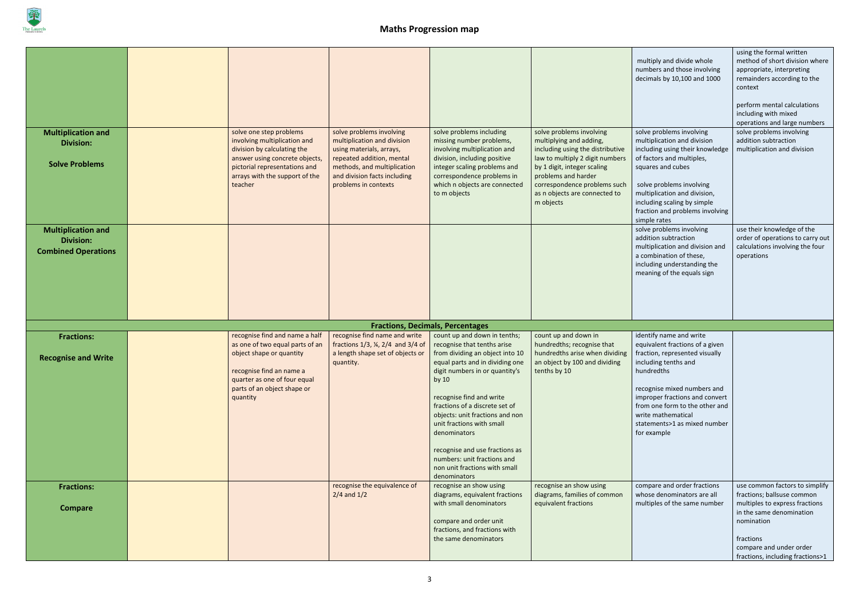

|                                                                             |                                                                                                                                                                                                        |                                                                                                                                                                                                         |                                                                                                                                                                                                                                                                                                                                                                                                                                                |                                                                                                                                                                                                                                                                | multiply and divide whole<br>numbers and those involving<br>decimals by 10,100 and 1000                                                                                                                                                                                                                    | using the formal written<br>method of short division where<br>appropriate, interpreting<br>remainders according to the<br>context<br>perform mental calculations<br>including with mixed<br>operations and large numbers |
|-----------------------------------------------------------------------------|--------------------------------------------------------------------------------------------------------------------------------------------------------------------------------------------------------|---------------------------------------------------------------------------------------------------------------------------------------------------------------------------------------------------------|------------------------------------------------------------------------------------------------------------------------------------------------------------------------------------------------------------------------------------------------------------------------------------------------------------------------------------------------------------------------------------------------------------------------------------------------|----------------------------------------------------------------------------------------------------------------------------------------------------------------------------------------------------------------------------------------------------------------|------------------------------------------------------------------------------------------------------------------------------------------------------------------------------------------------------------------------------------------------------------------------------------------------------------|--------------------------------------------------------------------------------------------------------------------------------------------------------------------------------------------------------------------------|
| <b>Multiplication and</b><br><b>Division:</b><br><b>Solve Problems</b>      | solve one step problems<br>involving multiplication and<br>division by calculating the<br>answer using concrete objects,<br>pictorial representations and<br>arrays with the support of the<br>teacher | solve problems involving<br>multiplication and division<br>using materials, arrays,<br>repeated addition, mental<br>methods, and multiplication<br>and division facts including<br>problems in contexts | solve problems including<br>missing number problems,<br>involving multiplication and<br>division, including positive<br>integer scaling problems and<br>correspondence problems in<br>which n objects are connected<br>to m objects                                                                                                                                                                                                            | solve problems involving<br>multiplying and adding,<br>including using the distributive<br>law to multiply 2 digit numbers<br>by 1 digit, integer scaling<br>problems and harder<br>correspondence problems such<br>as n objects are connected to<br>m objects | solve problems involving<br>multiplication and division<br>including using their knowledge<br>of factors and multiples,<br>squares and cubes<br>solve problems involving<br>multiplication and division,<br>including scaling by simple<br>fraction and problems involving<br>simple rates                 | solve problems involving<br>addition subtraction<br>multiplication and division                                                                                                                                          |
| <b>Multiplication and</b><br><b>Division:</b><br><b>Combined Operations</b> |                                                                                                                                                                                                        |                                                                                                                                                                                                         |                                                                                                                                                                                                                                                                                                                                                                                                                                                |                                                                                                                                                                                                                                                                | solve problems involving<br>addition subtraction<br>multiplication and division and<br>a combination of these,<br>including understanding the<br>meaning of the equals sign                                                                                                                                | use their knowledge of the<br>order of operations to carry out<br>calculations involving the four<br>operations                                                                                                          |
|                                                                             |                                                                                                                                                                                                        |                                                                                                                                                                                                         | <b>Fractions, Decimals, Percentages</b>                                                                                                                                                                                                                                                                                                                                                                                                        |                                                                                                                                                                                                                                                                |                                                                                                                                                                                                                                                                                                            |                                                                                                                                                                                                                          |
| <b>Fractions:</b><br><b>Recognise and Write</b>                             | recognise find and name a half<br>as one of two equal parts of an<br>object shape or quantity<br>recognise find an name a<br>quarter as one of four equal<br>parts of an object shape or<br>quantity   | recognise find name and write<br>fractions 1/3, ¼, 2/4 and 3/4 of<br>a length shape set of objects or<br>quantity.                                                                                      | count up and down in tenths;<br>recognise that tenths arise<br>from dividing an object into 10<br>equal parts and in dividing one<br>digit numbers in or quantity's<br>by $10$<br>recognise find and write<br>fractions of a discrete set of<br>objects: unit fractions and non<br>unit fractions with small<br>denominators<br>recognise and use fractions as<br>numbers: unit fractions and<br>non unit fractions with small<br>denominators | count up and down in<br>hundredths; recognise that<br>hundredths arise when dividing<br>an object by 100 and dividing<br>tenths by 10                                                                                                                          | identify name and write<br>equivalent fractions of a given<br>fraction, represented visually<br>including tenths and<br>hundredths<br>recognise mixed numbers and<br>improper fractions and convert<br>from one form to the other and<br>write mathematical<br>statements>1 as mixed number<br>for example |                                                                                                                                                                                                                          |
| <b>Fractions:</b><br><b>Compare</b>                                         |                                                                                                                                                                                                        | recognise the equivalence of<br>$2/4$ and $1/2$                                                                                                                                                         | recognise an show using<br>diagrams, equivalent fractions<br>with small denominators<br>compare and order unit<br>fractions, and fractions with<br>the same denominators                                                                                                                                                                                                                                                                       | recognise an show using<br>diagrams, families of common<br>equivalent fractions                                                                                                                                                                                | compare and order fractions<br>whose denominators are all<br>multiples of the same number                                                                                                                                                                                                                  | use common factors to simplify<br>fractions; ballsuse common<br>multiples to express fractions<br>in the same denomination<br>nomination<br>fractions<br>compare and under order<br>fractions, including fractions>1     |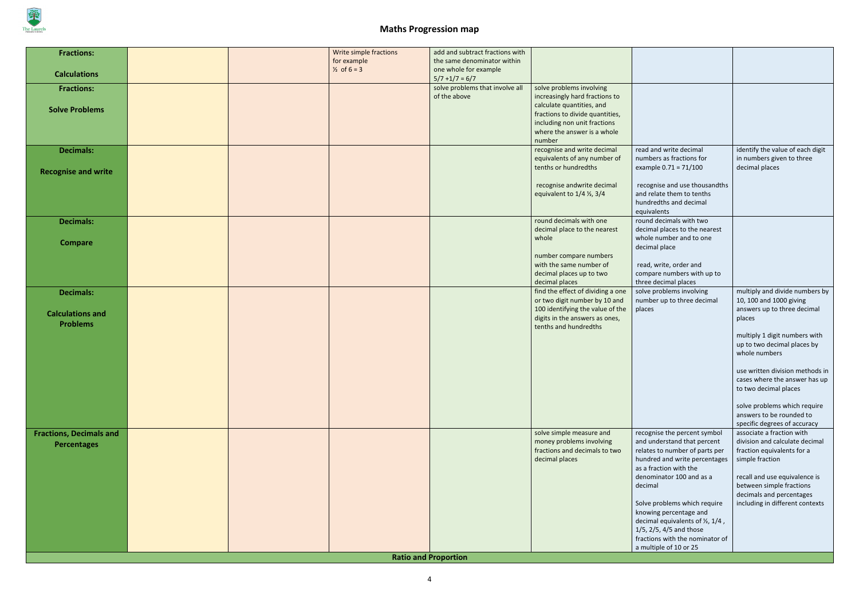

| <b>Fractions:</b>              |  | Write simple fractions | add and subtract fractions with            |                                                              |                                                                        |                                                               |
|--------------------------------|--|------------------------|--------------------------------------------|--------------------------------------------------------------|------------------------------------------------------------------------|---------------------------------------------------------------|
|                                |  | for example            | the same denominator within                |                                                              |                                                                        |                                                               |
| <b>Calculations</b>            |  | $\frac{1}{2}$ of 6 = 3 | one whole for example<br>$5/7 + 1/7 = 6/7$ |                                                              |                                                                        |                                                               |
| <b>Fractions:</b>              |  |                        | solve problems that involve all            | solve problems involving                                     |                                                                        |                                                               |
|                                |  |                        | of the above                               | increasingly hard fractions to                               |                                                                        |                                                               |
| <b>Solve Problems</b>          |  |                        |                                            | calculate quantities, and<br>fractions to divide quantities, |                                                                        |                                                               |
|                                |  |                        |                                            | including non unit fractions                                 |                                                                        |                                                               |
|                                |  |                        |                                            | where the answer is a whole                                  |                                                                        |                                                               |
|                                |  |                        |                                            | number                                                       |                                                                        |                                                               |
| <b>Decimals:</b>               |  |                        |                                            | recognise and write decimal<br>equivalents of any number of  | read and write decimal<br>numbers as fractions for                     | identify the value of each digit<br>in numbers given to three |
|                                |  |                        |                                            | tenths or hundredths                                         | example $0.71 = 71/100$                                                | decimal places                                                |
| <b>Recognise and write</b>     |  |                        |                                            |                                                              |                                                                        |                                                               |
|                                |  |                        |                                            | recognise andwrite decimal                                   | recognise and use thousandths                                          |                                                               |
|                                |  |                        |                                            | equivalent to $1/4$ $\frac{1}{2}$ , $3/4$                    | and relate them to tenths<br>hundredths and decimal                    |                                                               |
|                                |  |                        |                                            |                                                              | equivalents                                                            |                                                               |
| <b>Decimals:</b>               |  |                        |                                            | round decimals with one                                      | round decimals with two                                                |                                                               |
|                                |  |                        |                                            | decimal place to the nearest<br>whole                        | decimal places to the nearest<br>whole number and to one               |                                                               |
| <b>Compare</b>                 |  |                        |                                            |                                                              | decimal place                                                          |                                                               |
|                                |  |                        |                                            | number compare numbers                                       |                                                                        |                                                               |
|                                |  |                        |                                            | with the same number of                                      | read, write, order and                                                 |                                                               |
|                                |  |                        |                                            | decimal places up to two<br>decimal places                   | compare numbers with up to<br>three decimal places                     |                                                               |
| <b>Decimals:</b>               |  |                        |                                            | find the effect of dividing a one                            | solve problems involving                                               | multiply and divide numbers by                                |
|                                |  |                        |                                            | or two digit number by 10 and                                | number up to three decimal                                             | 10, 100 and 1000 giving                                       |
| <b>Calculations and</b>        |  |                        |                                            | 100 identifying the value of the                             | places                                                                 | answers up to three decimal                                   |
| <b>Problems</b>                |  |                        |                                            | digits in the answers as ones,<br>tenths and hundredths      |                                                                        | places                                                        |
|                                |  |                        |                                            |                                                              |                                                                        | multiply 1 digit numbers with                                 |
|                                |  |                        |                                            |                                                              |                                                                        | up to two decimal places by                                   |
|                                |  |                        |                                            |                                                              |                                                                        | whole numbers                                                 |
|                                |  |                        |                                            |                                                              |                                                                        | use written division methods in                               |
|                                |  |                        |                                            |                                                              |                                                                        | cases where the answer has up                                 |
|                                |  |                        |                                            |                                                              |                                                                        | to two decimal places                                         |
|                                |  |                        |                                            |                                                              |                                                                        | solve problems which require                                  |
|                                |  |                        |                                            |                                                              |                                                                        | answers to be rounded to                                      |
|                                |  |                        |                                            |                                                              |                                                                        | specific degrees of accuracy                                  |
| <b>Fractions, Decimals and</b> |  |                        |                                            | solve simple measure and<br>money problems involving         | recognise the percent symbol<br>and understand that percent            | associate a fraction with<br>division and calculate decimal   |
| <b>Percentages</b>             |  |                        |                                            | fractions and decimals to two                                | relates to number of parts per                                         | fraction equivalents for a                                    |
|                                |  |                        |                                            | decimal places                                               | hundred and write percentages                                          | simple fraction                                               |
|                                |  |                        |                                            |                                                              | as a fraction with the                                                 |                                                               |
|                                |  |                        |                                            |                                                              | denominator 100 and as a<br>decimal                                    | recall and use equivalence is<br>between simple fractions     |
|                                |  |                        |                                            |                                                              |                                                                        | decimals and percentages                                      |
|                                |  |                        |                                            |                                                              | Solve problems which require                                           | including in different contexts                               |
|                                |  |                        |                                            |                                                              | knowing percentage and                                                 |                                                               |
|                                |  |                        |                                            |                                                              | decimal equivalents of $\frac{1}{2}$ , 1/4,<br>1/5, 2/5, 4/5 and those |                                                               |
|                                |  |                        |                                            |                                                              | fractions with the nominator of                                        |                                                               |
|                                |  |                        |                                            |                                                              | a multiple of 10 or 25                                                 |                                                               |
|                                |  |                        | <b>Ratio and Proportion</b>                |                                                              |                                                                        |                                                               |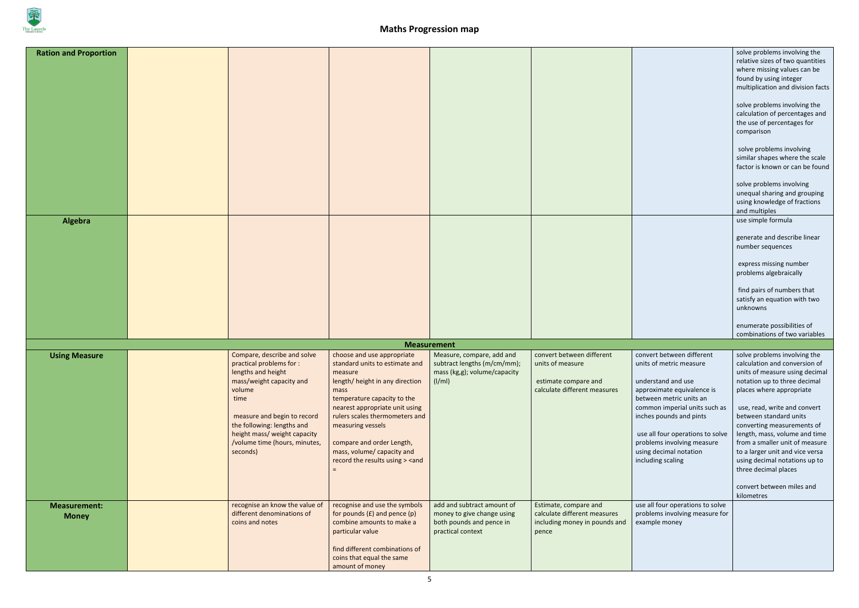

| <b>Ration and Proportion</b><br>Algebra |                                                                                                                                                                                                                                                                       |                                                                                                                                                                                                                                                                                                                                                                                                                                                                                                                                                                                                                                                                                                                                                                                                                                                                                                                                                                                                                                                                                                                                                                                                                                                                                                                                                                                                               |                                                                                                           |                                                                                                       |                                                                                                                                                                                                                                                                                                                  | solve problems involving the<br>relative sizes of two quantities<br>where missing values can be<br>found by using integer<br>multiplication and division facts<br>solve problems involving the<br>calculation of percentages and<br>the use of percentages for<br>comparison<br>solve problems involving<br>similar shapes where the scale<br>factor is known or can be found<br>solve problems involving<br>unequal sharing and grouping<br>using knowledge of fractions<br>and multiples<br>use simple formula |
|-----------------------------------------|-----------------------------------------------------------------------------------------------------------------------------------------------------------------------------------------------------------------------------------------------------------------------|---------------------------------------------------------------------------------------------------------------------------------------------------------------------------------------------------------------------------------------------------------------------------------------------------------------------------------------------------------------------------------------------------------------------------------------------------------------------------------------------------------------------------------------------------------------------------------------------------------------------------------------------------------------------------------------------------------------------------------------------------------------------------------------------------------------------------------------------------------------------------------------------------------------------------------------------------------------------------------------------------------------------------------------------------------------------------------------------------------------------------------------------------------------------------------------------------------------------------------------------------------------------------------------------------------------------------------------------------------------------------------------------------------------|-----------------------------------------------------------------------------------------------------------|-------------------------------------------------------------------------------------------------------|------------------------------------------------------------------------------------------------------------------------------------------------------------------------------------------------------------------------------------------------------------------------------------------------------------------|------------------------------------------------------------------------------------------------------------------------------------------------------------------------------------------------------------------------------------------------------------------------------------------------------------------------------------------------------------------------------------------------------------------------------------------------------------------------------------------------------------------|
|                                         |                                                                                                                                                                                                                                                                       |                                                                                                                                                                                                                                                                                                                                                                                                                                                                                                                                                                                                                                                                                                                                                                                                                                                                                                                                                                                                                                                                                                                                                                                                                                                                                                                                                                                                               |                                                                                                           |                                                                                                       |                                                                                                                                                                                                                                                                                                                  | generate and describe linear<br>number sequences<br>express missing number<br>problems algebraically<br>find pairs of numbers that<br>satisfy an equation with two<br>unknowns                                                                                                                                                                                                                                                                                                                                   |
|                                         |                                                                                                                                                                                                                                                                       |                                                                                                                                                                                                                                                                                                                                                                                                                                                                                                                                                                                                                                                                                                                                                                                                                                                                                                                                                                                                                                                                                                                                                                                                                                                                                                                                                                                                               |                                                                                                           |                                                                                                       |                                                                                                                                                                                                                                                                                                                  | enumerate possibilities of<br>combinations of two variables                                                                                                                                                                                                                                                                                                                                                                                                                                                      |
|                                         |                                                                                                                                                                                                                                                                       |                                                                                                                                                                                                                                                                                                                                                                                                                                                                                                                                                                                                                                                                                                                                                                                                                                                                                                                                                                                                                                                                                                                                                                                                                                                                                                                                                                                                               | <b>Measurement</b>                                                                                        |                                                                                                       |                                                                                                                                                                                                                                                                                                                  |                                                                                                                                                                                                                                                                                                                                                                                                                                                                                                                  |
| <b>Using Measure</b>                    | Compare, describe and solve<br>practical problems for :<br>lengths and height<br>mass/weight capacity and<br>volume<br>time<br>measure and begin to record<br>the following: lengths and<br>height mass/ weight capacity<br>/volume time (hours, minutes,<br>seconds) | choose and use appropriate<br>standard units to estimate and<br>measure<br>length/ height in any direction<br>mass<br>temperature capacity to the<br>nearest appropriate unit using<br>rulers scales thermometers and<br>measuring vessels<br>compare and order Length,<br>mass, volume/ capacity and<br>record the results using > <and< th=""><th>Measure, compare, add and<br/>subtract lengths (m/cm/mm);<br/>mass (kg,g); volume/capacity<br/>(I/ml)</th><th>convert between different<br/>units of measure<br/>estimate compare and<br/>calculate different measures</th><th>convert between different<br/>units of metric measure<br/>understand and use<br/>approximate equivalence is<br/>between metric units an<br/>common imperial units such as<br/>inches pounds and pints<br/>use all four operations to solve<br/>problems involving measure<br/>using decimal notation<br/>including scaling</th><th>solve problems involving the<br/>calculation and conversion of<br/>units of measure using decimal<br/>notation up to three decimal<br/>places where appropriate<br/>use, read, write and convert<br/>between standard units<br/>converting measurements of<br/>length, mass, volume and time<br/>from a smaller unit of measure<br/>to a larger unit and vice versa<br/>using decimal notations up to<br/>three decimal places<br/>convert between miles and<br/>kilometres</th></and<> | Measure, compare, add and<br>subtract lengths (m/cm/mm);<br>mass (kg,g); volume/capacity<br>(I/ml)        | convert between different<br>units of measure<br>estimate compare and<br>calculate different measures | convert between different<br>units of metric measure<br>understand and use<br>approximate equivalence is<br>between metric units an<br>common imperial units such as<br>inches pounds and pints<br>use all four operations to solve<br>problems involving measure<br>using decimal notation<br>including scaling | solve problems involving the<br>calculation and conversion of<br>units of measure using decimal<br>notation up to three decimal<br>places where appropriate<br>use, read, write and convert<br>between standard units<br>converting measurements of<br>length, mass, volume and time<br>from a smaller unit of measure<br>to a larger unit and vice versa<br>using decimal notations up to<br>three decimal places<br>convert between miles and<br>kilometres                                                    |
| <b>Measurement:</b><br><b>Money</b>     | recognise an know the value of<br>different denominations of<br>coins and notes                                                                                                                                                                                       | recognise and use the symbols<br>for pounds $(E)$ and pence $(p)$<br>combine amounts to make a<br>particular value<br>find different combinations of<br>coins that equal the same<br>amount of money                                                                                                                                                                                                                                                                                                                                                                                                                                                                                                                                                                                                                                                                                                                                                                                                                                                                                                                                                                                                                                                                                                                                                                                                          | add and subtract amount of<br>money to give change using<br>both pounds and pence in<br>practical context | Estimate, compare and<br>calculate different measures<br>including money in pounds and<br>pence       | use all four operations to solve<br>problems involving measure for<br>example money                                                                                                                                                                                                                              |                                                                                                                                                                                                                                                                                                                                                                                                                                                                                                                  |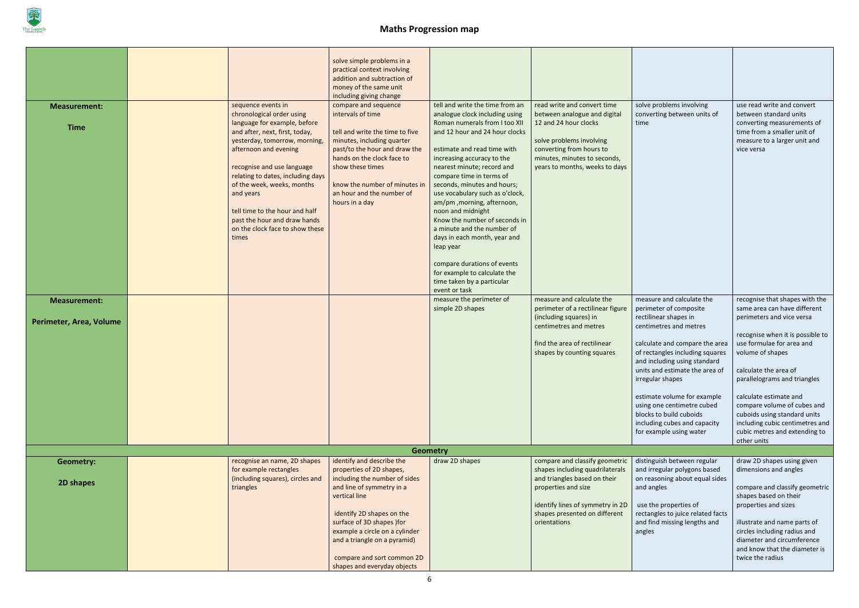

| <b>Measurement:</b><br><b>Time</b>             | sequence events in<br>chronological order using<br>language for example, before<br>and after, next, first, today,<br>yesterday, tomorrow, morning,<br>afternoon and evening<br>recognise and use language<br>relating to dates, including days<br>of the week, weeks, months<br>and years<br>tell time to the hour and half<br>past the hour and draw hands<br>on the clock face to show these<br>times | solve simple problems in a<br>practical context involving<br>addition and subtraction of<br>money of the same unit<br>including giving change<br>compare and sequence<br>intervals of time<br>tell and write the time to five<br>minutes, including quarter<br>past/to the hour and draw the<br>hands on the clock face to<br>show these times<br>know the number of minutes in<br>an hour and the number of<br>hours in a day | tell and write the time from an<br>analogue clock including using<br>Roman numerals from I too XII<br>and 12 hour and 24 hour clocks<br>estimate and read time with<br>increasing accuracy to the<br>nearest minute; record and<br>compare time in terms of<br>seconds, minutes and hours;<br>use vocabulary such as o'clock,<br>am/pm, morning, afternoon,<br>noon and midnight<br>Know the number of seconds in<br>a minute and the number of<br>days in each month, year and<br>leap year<br>compare durations of events<br>for example to calculate the<br>time taken by a particular<br>event or task<br>measure the perimeter of | read write and convert time<br>between analogue and digital<br>12 and 24 hour clocks<br>solve problems involving<br>converting from hours to<br>minutes, minutes to seconds,<br>years to months, weeks to days<br>measure and calculate the | solve problems involving<br>converting between units of<br>time<br>measure and calculate the                                                                                                                                                                                                                                                                       | use read write and convert<br>between standard units<br>converting measurements of<br>time from a smaller unit of<br>measure to a larger unit and<br>vice versa<br>recognise that shapes with the                                                                                             |
|------------------------------------------------|---------------------------------------------------------------------------------------------------------------------------------------------------------------------------------------------------------------------------------------------------------------------------------------------------------------------------------------------------------------------------------------------------------|--------------------------------------------------------------------------------------------------------------------------------------------------------------------------------------------------------------------------------------------------------------------------------------------------------------------------------------------------------------------------------------------------------------------------------|----------------------------------------------------------------------------------------------------------------------------------------------------------------------------------------------------------------------------------------------------------------------------------------------------------------------------------------------------------------------------------------------------------------------------------------------------------------------------------------------------------------------------------------------------------------------------------------------------------------------------------------|---------------------------------------------------------------------------------------------------------------------------------------------------------------------------------------------------------------------------------------------|--------------------------------------------------------------------------------------------------------------------------------------------------------------------------------------------------------------------------------------------------------------------------------------------------------------------------------------------------------------------|-----------------------------------------------------------------------------------------------------------------------------------------------------------------------------------------------------------------------------------------------------------------------------------------------|
| <b>Measurement:</b><br>Perimeter, Area, Volume |                                                                                                                                                                                                                                                                                                                                                                                                         |                                                                                                                                                                                                                                                                                                                                                                                                                                | simple 2D shapes                                                                                                                                                                                                                                                                                                                                                                                                                                                                                                                                                                                                                       | perimeter of a rectilinear figure<br>(including squares) in                                                                                                                                                                                 | perimeter of composite<br>rectilinear shapes in                                                                                                                                                                                                                                                                                                                    | same area can have different<br>perimeters and vice versa                                                                                                                                                                                                                                     |
|                                                |                                                                                                                                                                                                                                                                                                                                                                                                         |                                                                                                                                                                                                                                                                                                                                                                                                                                |                                                                                                                                                                                                                                                                                                                                                                                                                                                                                                                                                                                                                                        | centimetres and metres<br>find the area of rectilinear<br>shapes by counting squares                                                                                                                                                        | centimetres and metres<br>calculate and compare the area<br>of rectangles including squares<br>and including using standard<br>units and estimate the area of $\vert$ calculate the area of<br>irregular shapes<br>estimate volume for example<br>using one centimetre cubed<br>blocks to build cuboids<br>including cubes and capacity<br>for example using water | recognise when it is possible to<br>use formulae for area and<br>volume of shapes<br>parallelograms and triangles<br>calculate estimate and<br>compare volume of cubes and<br>cuboids using standard units<br>including cubic centimetres and<br>cubic metres and extending to<br>other units |
|                                                |                                                                                                                                                                                                                                                                                                                                                                                                         | Geometry                                                                                                                                                                                                                                                                                                                                                                                                                       |                                                                                                                                                                                                                                                                                                                                                                                                                                                                                                                                                                                                                                        |                                                                                                                                                                                                                                             |                                                                                                                                                                                                                                                                                                                                                                    |                                                                                                                                                                                                                                                                                               |
| <b>Geometry:</b><br>2D shapes                  | recognise an name, 2D shapes<br>for example rectangles<br>(including squares), circles and<br>triangles                                                                                                                                                                                                                                                                                                 | identify and describe the<br>properties of 2D shapes,<br>including the number of sides<br>and line of symmetry in a<br>vertical line<br>identify 2D shapes on the<br>surface of 3D shapes )for<br>example a circle on a cylinder<br>and a triangle on a pyramid)                                                                                                                                                               | draw 2D shapes                                                                                                                                                                                                                                                                                                                                                                                                                                                                                                                                                                                                                         | compare and classify geometric<br>shapes including quadrilaterals<br>and triangles based on their<br>properties and size<br>identify lines of symmetry in 2D<br>shapes presented on different<br>orientations                               | distinguish between regular<br>and irregular polygons based<br>on reasoning about equal sides<br>and angles<br>use the properties of<br>rectangles to juice related facts<br>and find missing lengths and<br>angles                                                                                                                                                | draw 2D shapes using given<br>dimensions and angles<br>compare and classify geometric<br>shapes based on their<br>properties and sizes<br>illustrate and name parts of<br>circles including radius and<br>diameter and circumference                                                          |
|                                                |                                                                                                                                                                                                                                                                                                                                                                                                         | compare and sort common 2D<br>shapes and everyday objects                                                                                                                                                                                                                                                                                                                                                                      |                                                                                                                                                                                                                                                                                                                                                                                                                                                                                                                                                                                                                                        |                                                                                                                                                                                                                                             |                                                                                                                                                                                                                                                                                                                                                                    | and know that the diameter is<br>twice the radius                                                                                                                                                                                                                                             |